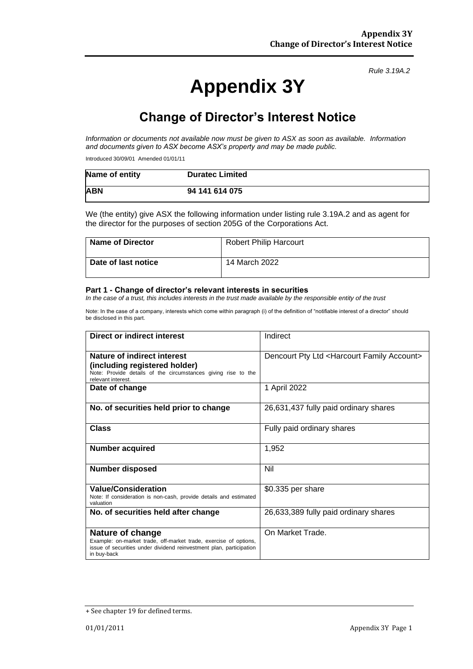# **Appendix 3Y**

*Rule 3.19A.2*

# **Change of Director's Interest Notice**

*Information or documents not available now must be given to ASX as soon as available. Information and documents given to ASX become ASX's property and may be made public.*

Introduced 30/09/01 Amended 01/01/11

| Name of entity | <b>Duratec Limited</b> |
|----------------|------------------------|
| <b>ABN</b>     | 94 141 614 075         |

We (the entity) give ASX the following information under listing rule 3.19A.2 and as agent for the director for the purposes of section 205G of the Corporations Act.

| <b>Name of Director</b> | <b>Robert Philip Harcourt</b> |
|-------------------------|-------------------------------|
| Date of last notice     | 14 March 2022                 |

#### **Part 1 - Change of director's relevant interests in securities**

*In the case of a trust, this includes interests in the trust made available by the responsible entity of the trust*

Note: In the case of a company, interests which come within paragraph (i) of the definition of "notifiable interest of a director" should be disclosed in this part.

| Direct or indirect interest                                                                                                                                                       | Indirect                                                    |  |
|-----------------------------------------------------------------------------------------------------------------------------------------------------------------------------------|-------------------------------------------------------------|--|
| Nature of indirect interest<br>(including registered holder)<br>Note: Provide details of the circumstances giving rise to the<br>relevant interest.                               | Dencourt Pty Ltd <harcourt account="" family=""></harcourt> |  |
| Date of change                                                                                                                                                                    | 1 April 2022                                                |  |
| No. of securities held prior to change                                                                                                                                            | 26,631,437 fully paid ordinary shares                       |  |
| <b>Class</b>                                                                                                                                                                      | Fully paid ordinary shares                                  |  |
| <b>Number acquired</b>                                                                                                                                                            | 1,952                                                       |  |
| <b>Number disposed</b>                                                                                                                                                            | Nil                                                         |  |
| <b>Value/Consideration</b><br>Note: If consideration is non-cash, provide details and estimated<br>valuation                                                                      | \$0.335 per share                                           |  |
| No. of securities held after change                                                                                                                                               | 26,633,389 fully paid ordinary shares                       |  |
| <b>Nature of change</b><br>Example: on-market trade, off-market trade, exercise of options,<br>issue of securities under dividend reinvestment plan, participation<br>in buy-back | On Market Trade.                                            |  |

<sup>+</sup> See chapter 19 for defined terms.